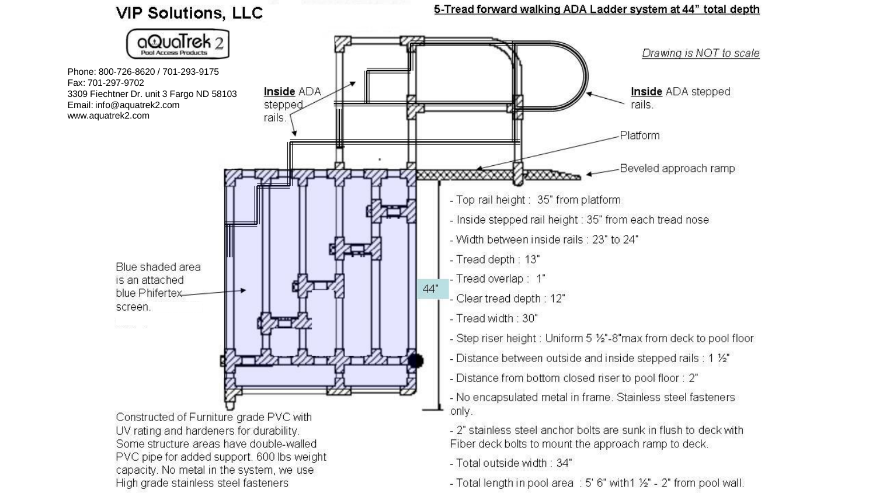**VIP Solutions, LLC** 





Constructed of Furniture grade PVC with UV rating and hardeners for durability. Some structure areas have double-walled PVC pipe for added support. 600 lbs weight capacity. No metal in the system, we use High grade stainless steel fasteners

- 2" stainless steel anchor bolts are sunk in flush to deck with Fiber deck bolts to mount the approach ramp to deck.

- Total outside width: 34"

- Total length in pool area : 5' 6" with 1 1/2" - 2" from pool wall.

5-Tread forward walking ADA Ladder system at 44" total depth